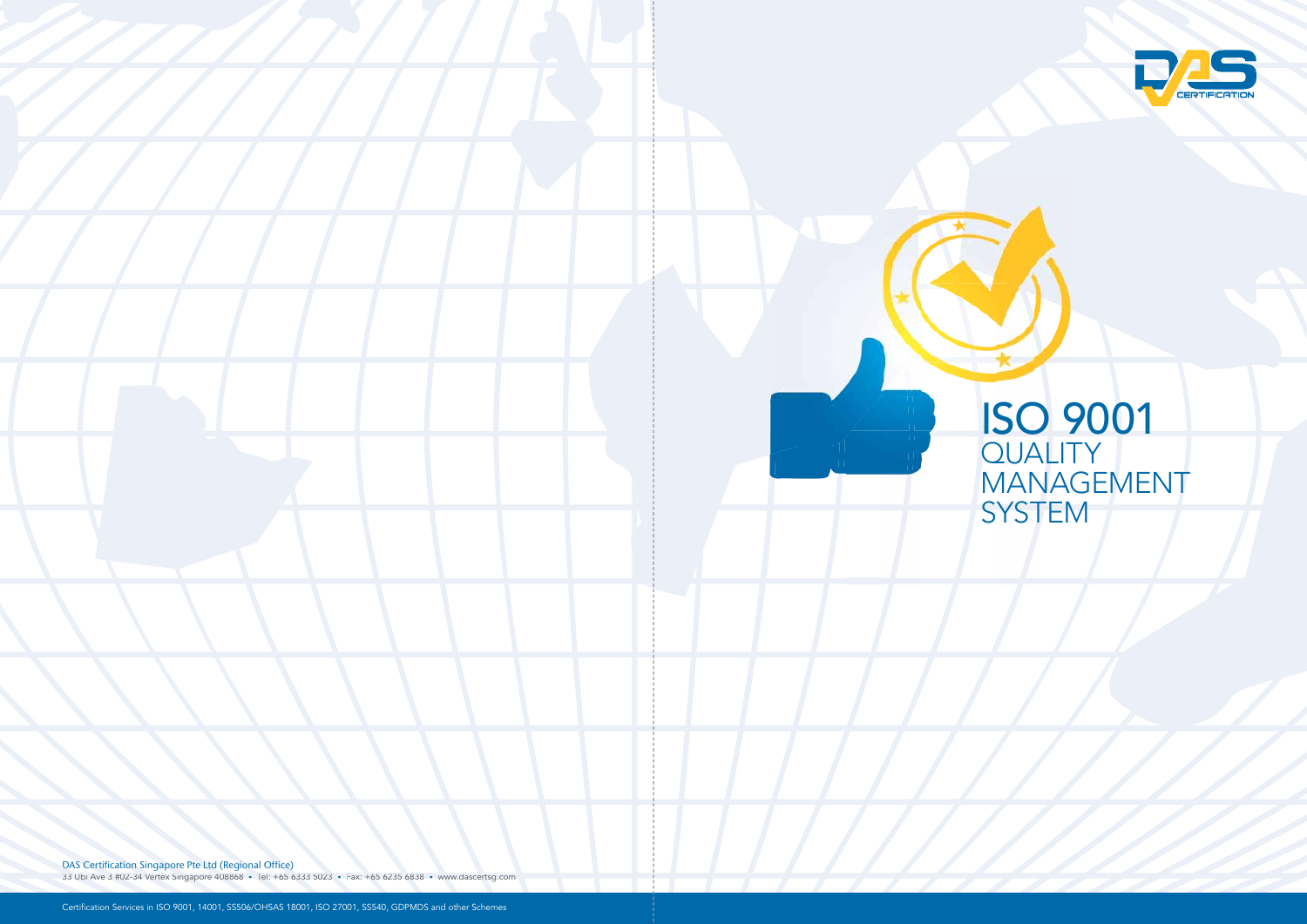DAS Certification Singapore Pte Ltd (Regional Office)

33 Ubi Ave 3 #02-34 Vertex Singapore 408868 • Tel: +65 6333 5023 • Fax: +65 6235 6838 • www.dascertsg.com • • 6838 •



## ISO 9001 **QUALITY** MANAGEMENT SYSTEM